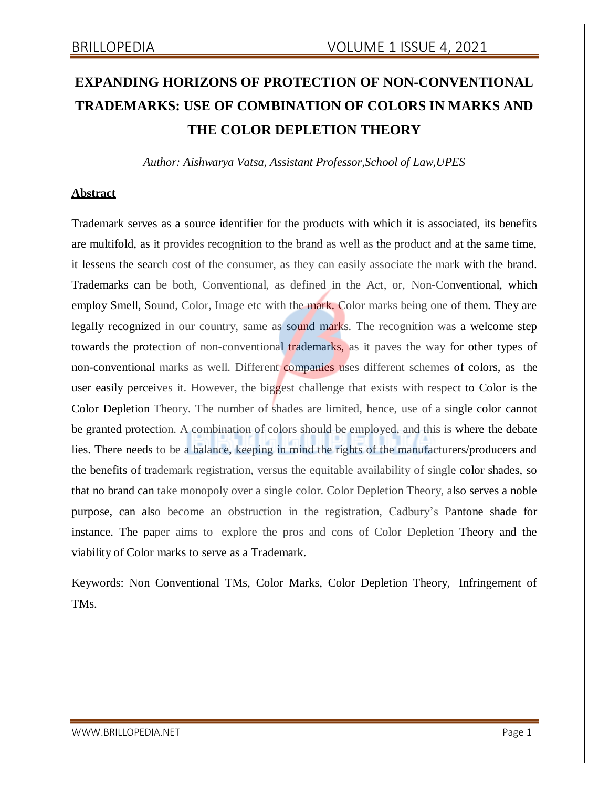# **EXPANDING HORIZONS OF PROTECTION OF NON-CONVENTIONAL TRADEMARKS: USE OF COMBINATION OF COLORS IN MARKS AND THE COLOR DEPLETION THEORY**

*Author: Aishwarya Vatsa, Assistant Professor,School of Law,UPES*

### **Abstract**

Trademark serves as a source identifier for the products with which it is associated, its benefits are multifold, as it provides recognition to the brand as well as the product and at the same time, it lessens the search cost of the consumer, as they can easily associate the mark with the brand. Trademarks can be both, Conventional, as defined in the Act, or, Non-Conventional, which employ Smell, Sound, Color, Image etc with the mark. Color marks being one of them. They are legally recognized in our country, same as sound marks. The recognition was a welcome step towards the protection of non-conventional trademarks, as it paves the way for other types of non-conventional marks as well. Different companies uses different schemes of colors, as the user easily perceives it. However, the biggest challenge that exists with respect to Color is the Color Depletion Theory. The number of shades are limited, hence, use of a single color cannot be granted protection. A combination of colors should be employed, and this is where the debate lies. There needs to be a balance, keeping in mind the rights of the manufacturers/producers and the benefits of trademark registration, versus the equitable availability of single color shades, so that no brand can take monopoly over a single color. Color Depletion Theory, also serves a noble purpose, can also become an obstruction in the registration, Cadbury's Pantone shade for instance. The paper aims to explore the pros and cons of Color Depletion Theory and the viability of Color marks to serve as a Trademark.

Keywords: Non Conventional TMs, Color Marks, Color Depletion Theory, Infringement of TMs.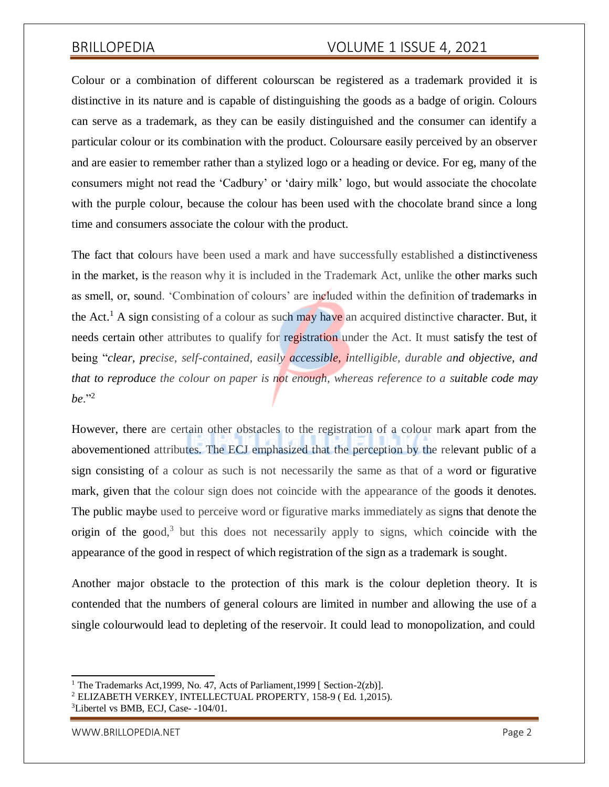Colour or a combination of different colourscan be registered as a trademark provided it is distinctive in its nature and is capable of distinguishing the goods as a badge of origin. Colours can serve as a trademark, as they can be easily distinguished and the consumer can identify a particular colour or its combination with the product. Coloursare easily perceived by an observer and are easier to remember rather than a stylized logo or a heading or device. For eg, many of the consumers might not read the 'Cadbury' or 'dairy milk' logo, but would associate the chocolate with the purple colour, because the colour has been used with the chocolate brand since a long time and consumers associate the colour with the product.

The fact that colours have been used a mark and have successfully established a distinctiveness in the market, is the reason why it is included in the Trademark Act, unlike the other marks such as smell, or, sound. 'Combination of colours' are included within the definition of trademarks in the Act.<sup>1</sup> A sign consisting of a colour as such may have an acquired distinctive character. But, it needs certain other attributes to qualify for registration under the Act. It must satisfy the test of being "*clear, precise, self-contained, easily accessible, intelligible, durable and objective, and that to reproduce the colour on paper is not enough, whereas reference to a suitable code may be*."<sup>2</sup>

However, there are certain other obstacles to the registration of a colour mark apart from the abovementioned attributes. The ECJ emphasized that the perception by the relevant public of a sign consisting of a colour as such is not necessarily the same as that of a word or figurative mark, given that the colour sign does not coincide with the appearance of the goods it denotes. The public maybe used to perceive word or figurative marks immediately as signs that denote the origin of the good, $3$  but this does not necessarily apply to signs, which coincide with the appearance of the good in respect of which registration of the sign as a trademark is sought.

Another major obstacle to the protection of this mark is the colour depletion theory. It is contended that the numbers of general colours are limited in number and allowing the use of a single colourwould lead to depleting of the reservoir. It could lead to monopolization, and could

<sup>&</sup>lt;sup>1</sup> The Trademarks Act, 1999, No. 47, Acts of Parliament, 1999 [ Section-2(zb)].

<sup>2</sup> ELIZABETH VERKEY, INTELLECTUAL PROPERTY, 158-9 ( Ed. 1,2015).

<sup>&</sup>lt;sup>3</sup>Libertel vs BMB, ECJ, Case--104/01.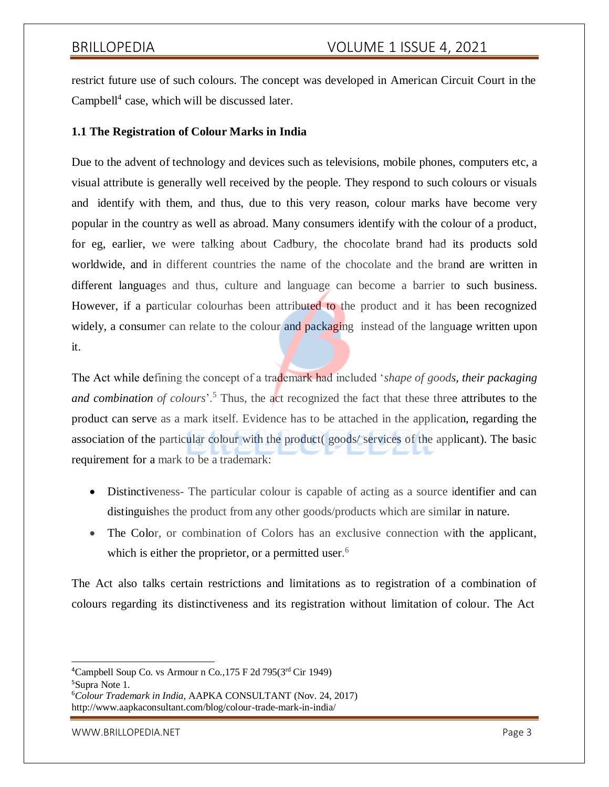restrict future use of such colours. The concept was developed in American Circuit Court in the Campbell $4$  case, which will be discussed later.

### **1.1 The Registration of Colour Marks in India**

Due to the advent of technology and devices such as televisions, mobile phones, computers etc, a visual attribute is generally well received by the people. They respond to such colours or visuals and identify with them, and thus, due to this very reason, colour marks have become very popular in the country as well as abroad. Many consumers identify with the colour of a product, for eg, earlier, we were talking about Cadbury, the chocolate brand had its products sold worldwide, and in different countries the name of the chocolate and the brand are written in different languages and thus, culture and language can become a barrier to such business. However, if a particular colourhas been attributed to the product and it has been recognized widely, a consumer can relate to the colour and packaging instead of the language written upon it.

The Act while defining the concept of a trademark had included '*shape of goods, their packaging and combination of colours*'.<sup>5</sup> Thus, the act recognized the fact that these three attributes to the product can serve as a mark itself. Evidence has to be attached in the application, regarding the association of the particular colour with the product( goods/ services of the applicant). The basic requirement for a mark to be a trademark:

- Distinctiveness- The particular colour is capable of acting as a source identifier and can distinguishes the product from any other goods/products which are similar in nature.
- The Color, or combination of Colors has an exclusive connection with the applicant, which is either the proprietor, or a permitted user.<sup>6</sup>

The Act also talks certain restrictions and limitations as to registration of a combination of colours regarding its distinctiveness and its registration without limitation of colour. The Act

<sup>&</sup>lt;sup>4</sup>Campbell Soup Co. vs Armour n Co., 175 F 2d 795( $3<sup>rd</sup>$  Cir 1949)

<sup>5</sup>Supra Note 1.

<sup>6</sup>*Colour Trademark in India*, AAPKA CONSULTANT (Nov. 24, 2017) <http://www.aapkaconsultant.com/blog/colour-trade-mark-in-india/>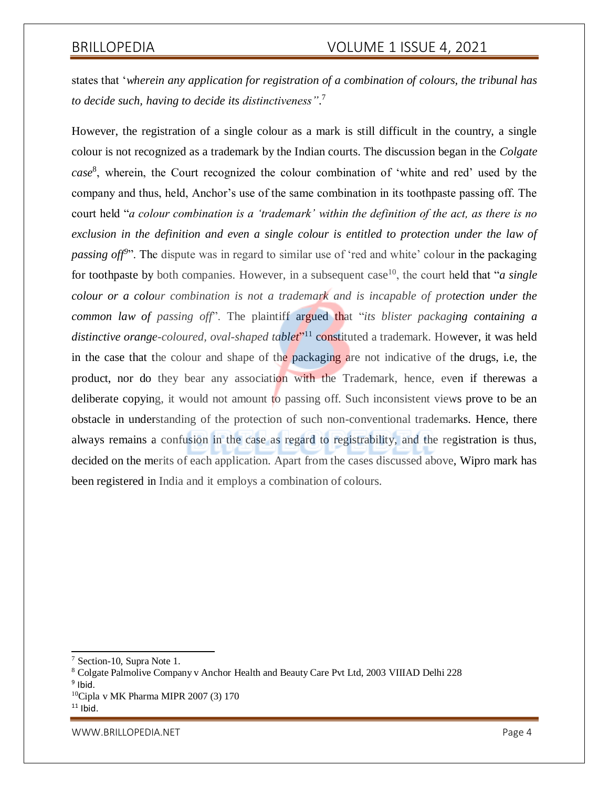states that '*wherein any application for registration of a combination of colours, the tribunal has to decide such, having to decide its distinctiveness"*. 7

However, the registration of a single colour as a mark is still difficult in the country, a single colour is not recognized as a trademark by the Indian courts. The discussion began in the *Colgate case*<sup>8</sup> , wherein, the Court recognized the colour combination of 'white and red' used by the company and thus, held, Anchor's use of the same combination in its toothpaste passing off. The court held "*a colour combination is a 'trademark' within the definition of the act, as there is no exclusion in the definition and even a single colour is entitled to protection under the law of* passing off<sup>9</sup>". The dispute was in regard to similar use of 'red and white' colour in the packaging for toothpaste by both companies. However, in a subsequent case<sup>10</sup>, the court held that "*a single*" *colour or a colour combination is not a trademark and is incapable of protection under the common law of passing off*". The plaintiff argued that "*its blister packaging containing a* distinctive orange-coloured, oval-shaped table<sup>ry11</sup> constituted a trademark. However, it was held in the case that the colour and shape of the packaging are not indicative of the drugs, i.e, the product, nor do they bear any association with the Trademark, hence, even if therewas a deliberate copying, it would not amount to passing off. Such inconsistent views prove to be an obstacle in understanding of the protection of such non-conventional trademarks. Hence, there always remains a confusion in the case as regard to registrability, and the registration is thus, decided on the merits of each application. Apart from the cases discussed above, Wipro mark has been registered in India and it employs a combination of colours.

[WWW.BRILLOPEDIA.NET](http://www.brillopedia.net/) EXAMPLE THE SERVICE OF STATE AND THE SERVICE OF STATE AND THE PAGE 4

<sup>7</sup> Section-10, Supra Note 1.

<sup>8</sup> Colgate Palmolive Company v Anchor Health and Beauty Care Pvt Ltd, 2003 VIIIAD Delhi 228

<sup>&</sup>lt;sup>9</sup> Ibid.

<sup>10</sup>Cipla v MK Pharma MIPR 2007 (3) 170

 $11$  Ibid.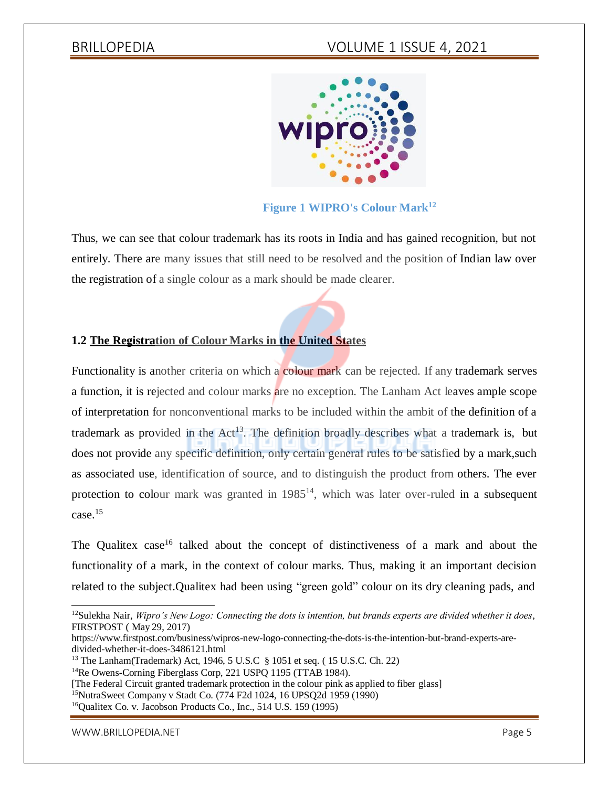

# **Figure 1 WIPRO's Colour Mark<sup>12</sup>**

Thus, we can see that colour trademark has its roots in India and has gained recognition, but not entirely. There are many issues that still need to be resolved and the position of Indian law over the registration of a single colour as a mark should be made clearer.

### **1.2 The Registration of Colour Marks in the United States**

Functionality is another criteria on which a colour mark can be rejected. If any trademark serves a function, it is rejected and colour marks are no exception. The Lanham Act leaves ample scope of interpretation for nonconventional marks to be included within the ambit of the definition of a trademark as provided in the  $Act^{13}$ . The definition broadly describes what a trademark is, but does not provide any specific definition, only certain general rules to be satisfied by a mark,such as associated use, identification of source, and to distinguish the product from others. The ever protection to colour mark was granted in  $1985<sup>14</sup>$ , which was later over-ruled in a subsequent case.<sup>15</sup>

The Qualitex case<sup>16</sup> talked about the concept of distinctiveness of a mark and about the functionality of a mark, in the context of colour marks. Thus, making it an important decision related to the subject.Qualitex had been using "green gold" colour on its dry cleaning pads, and

[WWW.BRILLOPEDIA.NET](http://www.brillopedia.net/) And the state of the state of the state of the state of the state of the state of the state of the state of the state of the state of the state of the state of the state of the state of the state of the

<sup>12</sup>Sulekha Nair, *Wipro's New Logo: Connecting the dots is intention, but brands experts are divided whether it does*, FIRSTPOST ( May 29, 2017)

https:/[/www.firstpost.com/business/wipros-new-logo-connecting-the-dots-is-the-intention-but-brand-experts-are](http://www.firstpost.com/business/wipros-new-logo-connecting-the-dots-is-the-intention-but-brand-experts-are-)divided-whether-it-does-3486121.html

<sup>13</sup> The Lanham(Trademark) Act, 1946, 5 U.S.C § 1051 et seq. ( 15 U.S.C. Ch. 22)

<sup>&</sup>lt;sup>14</sup>Re Owens-Corning Fiberglass Corp, 221 USPQ 1195 (TTAB 1984).

<sup>[</sup>The Federal Circuit granted trademark protection in the colour pink as applied to fiber glass]

<sup>15</sup>NutraSweet Company v Stadt Co. (774 F2d 1024, 16 UPSQ2d 1959 (1990)

<sup>16</sup>Qualitex Co. v. Jacobson Products Co., Inc., 514 U.S. 159 (1995)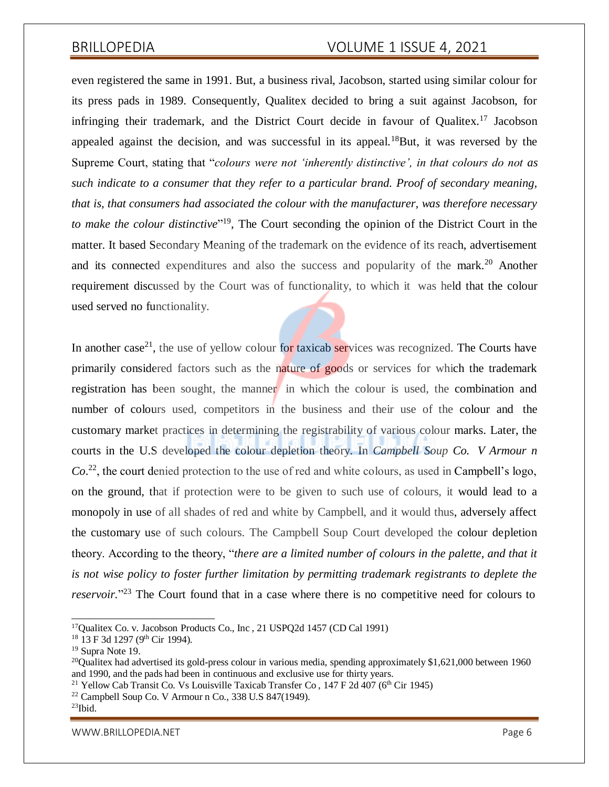even registered the same in 1991. But, a business rival, Jacobson, started using similar colour for its press pads in 1989. Consequently, Qualitex decided to bring a suit against Jacobson, for infringing their trademark, and the District Court decide in favour of Qualitex.<sup>17</sup> Jacobson appealed against the decision, and was successful in its appeal.<sup>18</sup>But, it was reversed by the Supreme Court, stating that "*colours were not 'inherently distinctive', in that colours do not as such indicate to a consumer that they refer to a particular brand. Proof of secondary meaning, that is, that consumers had associated the colour with the manufacturer, was therefore necessary to make the colour distinctive*" <sup>19</sup>, The Court seconding the opinion of the District Court in the matter. It based Secondary Meaning of the trademark on the evidence of its reach, advertisement and its connected expenditures and also the success and popularity of the mark.<sup>20</sup> Another requirement discussed by the Court was of functionality, to which it was held that the colour used served no functionality.

In another case<sup>21</sup>, the use of yellow colour for taxicab services was recognized. The Courts have primarily considered factors such as the nature of goods or services for which the trademark registration has been sought, the manner in which the colour is used, the combination and number of colours used, competitors in the business and their use of the colour and the customary market practices in determining the registrability of various colour marks. Later, the courts in the U.S developed the colour depletion theory. In *Campbell Soup Co. V Armour n Co*. <sup>22</sup>, the court denied protection to the use of red and white colours, as used in Campbell's logo, on the ground, that if protection were to be given to such use of colours, it would lead to a monopoly in use of all shades of red and white by Campbell, and it would thus, adversely affect the customary use of such colours. The Campbell Soup Court developed the colour depletion theory. According to the theory, "*there are a limited number of colours in the palette, and that it is not wise policy to foster further limitation by permitting trademark registrants to deplete the reservoir.*" <sup>23</sup> The Court found that in a case where there is no competitive need for colours to

[WWW.BRILLOPEDIA.NET](http://www.brillopedia.net/) And the state of the state of the state of the state of the state of the state of the state of the state of the state of the state of the state of the state of the state of the state of the state of the

<sup>17</sup>Qualitex Co. v. Jacobson Products Co., Inc , 21 USPQ2d 1457 (CD Cal 1991)

<sup>&</sup>lt;sup>18</sup> 13 F 3d 1297 (9<sup>th</sup> Cir 1994).

<sup>&</sup>lt;sup>19</sup> Supra Note 19.

<sup>&</sup>lt;sup>20</sup>Qualitex had advertised its gold-press colour in various media, spending approximately \$1,621,000 between 1960 and 1990, and the pads had been in continuous and exclusive use for thirty years.

<sup>&</sup>lt;sup>21</sup> Yellow Cab Transit Co. Vs Louisville Taxicab Transfer Co.,  $147$  F 2d 407 (6<sup>th</sup> Cir 1945)

 $22$  Campbell Soup Co. V Armour n Co., 338 U.S 847(1949).

 $23$ Ibid.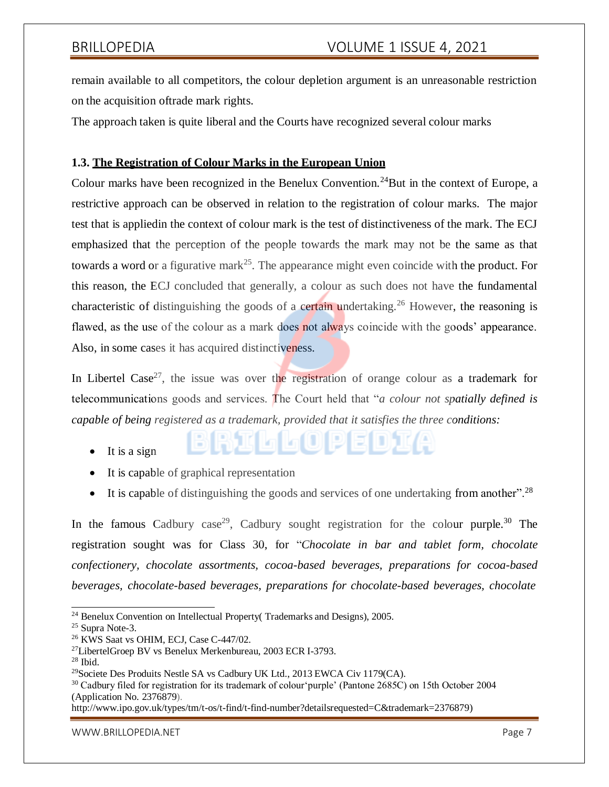remain available to all competitors, the colour depletion argument is an unreasonable restriction on the acquisition oftrade mark rights.

The approach taken is quite liberal and the Courts have recognized several colour marks

### **1.3. The Registration of Colour Marks in the European Union**

Colour marks have been recognized in the Benelux Convention.<sup>24</sup>But in the context of Europe, a restrictive approach can be observed in relation to the registration of colour marks. The major test that is appliedin the context of colour mark is the test of distinctiveness of the mark. The ECJ emphasized that the perception of the people towards the mark may not be the same as that towards a word or a figurative mark<sup>25</sup>. The appearance might even coincide with the product. For this reason, the ECJ concluded that generally, a colour as such does not have the fundamental characteristic of distinguishing the goods of a certain undertaking.<sup>26</sup> However, the reasoning is flawed, as the use of the colour as a mark does not always coincide with the goods' appearance. Also, in some cases it has acquired distinctiveness.

In Libertel Case<sup>27</sup>, the issue was over the registration of orange colour as a trademark for telecommunications goods and services. The Court held that "*a colour not spatially defined is capable of being registered as a trademark, provided that it satisfies the three conditions:*

- $\bullet$  It is a sign
- It is capable of graphical representation
- It is capable of distinguishing the goods and services of one undertaking from another".<sup>28</sup>

(| G G (O) P E D) I (A

In the famous Cadbury case<sup>29</sup>, Cadbury sought registration for the colour purple.<sup>30</sup> The registration sought was for Class 30, for "*Chocolate in bar and tablet form, chocolate confectionery, chocolate assortments, cocoa-based beverages, preparations for cocoa-based beverages, chocolate-based beverages, preparations for chocolate-based beverages, chocolate*

[http://www.ipo.gov.uk/types/tm/t-os/t-find/t-find-number?detailsrequested=C&trademark=2376879\)](http://www.ipo.gov.uk/types/tm/t-os/t-find/t-find-number?detailsrequested=C&trademark=2376879)

[WWW.BRILLOPEDIA.NET](http://www.brillopedia.net/) And the state of the state of the state of the state of the state of the state of the state of the state of the state of the state of the state of the state of the state of the state of the state of the

<sup>&</sup>lt;sup>24</sup> Benelux Convention on Intellectual Property(Trademarks and Designs), 2005.

<sup>25</sup> Supra Note-3.

<sup>26</sup> KWS Saat vs OHIM, ECJ, Case C-447/02.

<sup>27</sup>LibertelGroep BV vs Benelux Merkenbureau, 2003 ECR I-3793.

<sup>28</sup> Ibid.

<sup>29</sup>Societe Des Produits Nestle SA vs Cadbury UK Ltd., 2013 EWCA Civ 1179(CA).

<sup>&</sup>lt;sup>30</sup> Cadbury filed for registration for its trademark of colour 'purple' (Pantone 2685C) on 15th October 2004 (Application No. 2376879).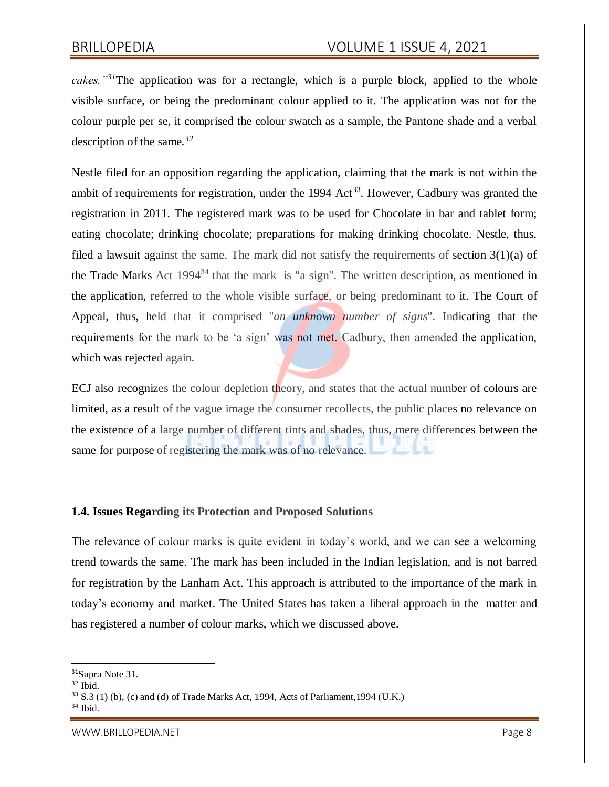*cakes."<sup>31</sup>*The application was for a rectangle, which is a purple block, applied to the whole visible surface, or being the predominant colour applied to it. The application was not for the colour purple per se, it comprised the colour swatch as a sample, the Pantone shade and a verbal description of the same*. 32*

Nestle filed for an opposition regarding the application, claiming that the mark is not within the ambit of requirements for registration, under the 1994 Act<sup>33</sup>. However, Cadbury was granted the registration in 2011. The registered mark was to be used for Chocolate in bar and tablet form; eating chocolate; drinking chocolate; preparations for making drinking chocolate. Nestle, thus, filed a lawsuit against the same. The mark did not satisfy the requirements of section 3(1)(a) of the Trade Marks Act  $1994^{34}$  that the mark is "a sign". The written description, as mentioned in the application, referred to the whole visible surface, or being predominant to it. The Court of Appeal, thus, held that it comprised "*an unknown number of signs*". Indicating that the requirements for the mark to be 'a sign' was not met. Cadbury, then amended the application, which was rejected again.

ECJ also recognizes the colour depletion theory, and states that the actual number of colours are limited, as a result of the vague image the consumer recollects, the public places no relevance on the existence of a large number of different tints and shades, thus, mere differences between the same for purpose of registering the mark was of no relevance.

### **1.4. Issues Regarding its Protection and Proposed Solutions**

The relevance of colour marks is quite evident in today's world, and we can see a welcoming trend towards the same. The mark has been included in the Indian legislation, and is not barred for registration by the Lanham Act. This approach is attributed to the importance of the mark in today's economy and market. The United States has taken a liberal approach in the matter and has registered a number of colour marks, which we discussed above.

<sup>31</sup>Supra Note 31.

 $32$  Ibid.

 $33$  S.3 (1) (b), (c) and (d) of Trade Marks Act, 1994, Acts of Parliament, 1994 (U.K.)

 $34$  Ibid.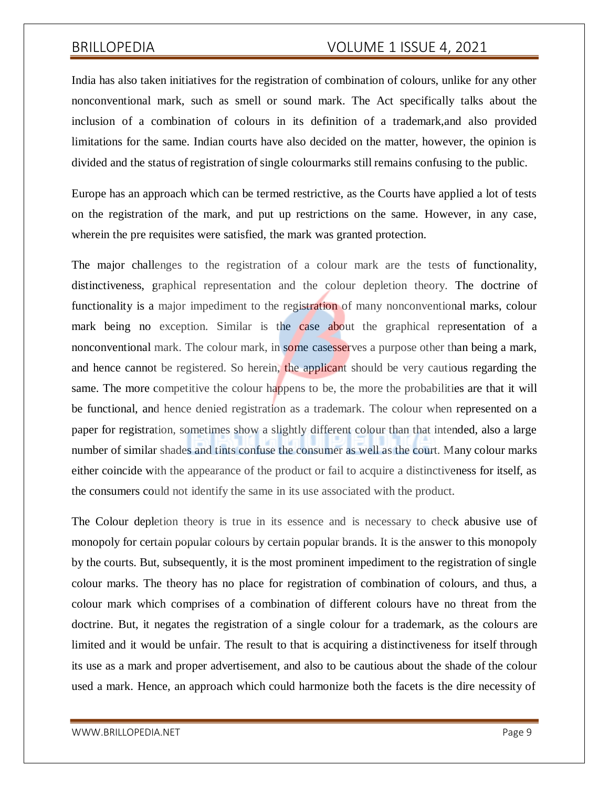India has also taken initiatives for the registration of combination of colours, unlike for any other nonconventional mark, such as smell or sound mark. The Act specifically talks about the inclusion of a combination of colours in its definition of a trademark,and also provided limitations for the same. Indian courts have also decided on the matter, however, the opinion is divided and the status of registration of single colournarks still remains confusing to the public.

Europe has an approach which can be termed restrictive, as the Courts have applied a lot of tests on the registration of the mark, and put up restrictions on the same. However, in any case, wherein the pre requisites were satisfied, the mark was granted protection.

The major challenges to the registration of a colour mark are the tests of functionality, distinctiveness, graphical representation and the colour depletion theory. The doctrine of functionality is a major impediment to the registration of many nonconventional marks, colour mark being no exception. Similar is the case about the graphical representation of a nonconventional mark. The colour mark, in some casesserves a purpose other than being a mark, and hence cannot be registered. So herein, the applicant should be very cautious regarding the same. The more competitive the colour happens to be, the more the probabilities are that it will be functional, and hence denied registration as a trademark. The colour when represented on a paper for registration, sometimes show a slightly different colour than that intended, also a large number of similar shades and tints confuse the consumer as well as the court. Many colour marks either coincide with the appearance of the product or fail to acquire a distinctiveness for itself, as the consumers could not identify the same in its use associated with the product.

The Colour depletion theory is true in its essence and is necessary to check abusive use of monopoly for certain popular colours by certain popular brands. It is the answer to this monopoly by the courts. But, subsequently, it is the most prominent impediment to the registration of single colour marks. The theory has no place for registration of combination of colours, and thus, a colour mark which comprises of a combination of different colours have no threat from the doctrine. But, it negates the registration of a single colour for a trademark, as the colours are limited and it would be unfair. The result to that is acquiring a distinctiveness for itself through its use as a mark and proper advertisement, and also to be cautious about the shade of the colour used a mark. Hence, an approach which could harmonize both the facets is the dire necessity of